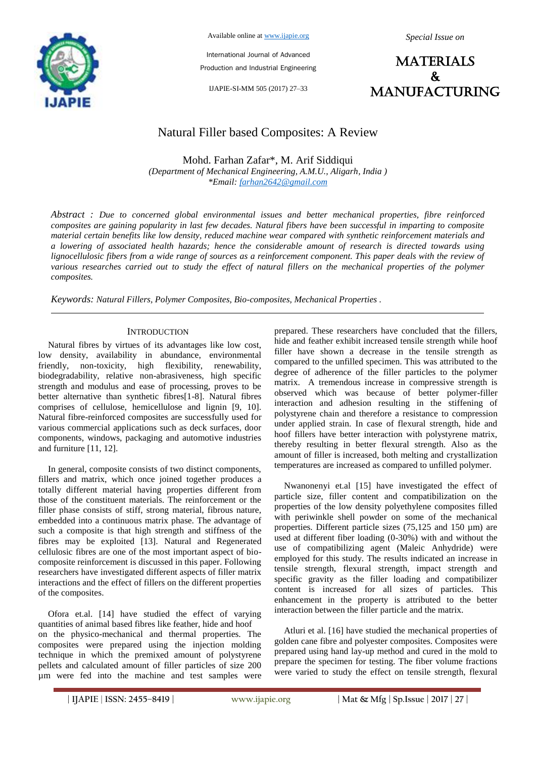

Available online at www.ijapie.org

*Special Issue on*

International Journal of Advanced Production and Industrial Engineering

IJAPIE-SI-MM 505 (2017) 27–33



# Natural Filler based Composites: A Review

Mohd. Farhan Zafar\*, M. Arif Siddiqui *(Department of Mechanical Engineering, A.M.U., Aligarh, India ) \*Email: farhan2642@gmail.com*

*Abstract : Due to concerned global environmental issues and better mechanical properties, fibre reinforced composites are gaining popularity in last few decades. Natural fibers have been successful in imparting to composite material certain benefits like low density, reduced machine wear compared with synthetic reinforcement materials and a lowering of associated health hazards; hence the considerable amount of research is directed towards using*  lignocellulosic fibers from a wide range of sources as a reinforcement component. This paper deals with the review of *various researches carried out to study the effect of natural fillers on the mechanical properties of the polymer composites.*

*Keywords: Natural Fillers, Polymer Composites, Bio-composites, Mechanical Properties .*

#### **INTRODUCTION**

Natural fibres by virtues of its advantages like low cost, low density, availability in abundance, environmental friendly, non-toxicity, high flexibility, renewability, biodegradability, relative non-abrasiveness, high specific strength and modulus and ease of processing, proves to be better alternative than synthetic fibres[1-8]. Natural fibres comprises of cellulose, hemicellulose and lignin [9, 10]. Natural fibre-reinforced composites are successfully used for various commercial applications such as deck surfaces, door components, windows, packaging and automotive industries and furniture [11, 12].

In general, composite consists of two distinct components, fillers and matrix, which once joined together produces a totally different material having properties different from those of the constituent materials. The reinforcement or the filler phase consists of stiff, strong material, fibrous nature, embedded into a continuous matrix phase. The advantage of such a composite is that high strength and stiffness of the fibres may be exploited [13]. Natural and Regenerated cellulosic fibres are one of the most important aspect of biocomposite reinforcement is discussed in this paper. Following researchers have investigated different aspects of filler matrix interactions and the effect of fillers on the different properties of the composites.

Ofora et.al. [14] have studied the effect of varying quantities of animal based fibres like feather, hide and hoof on the physico-mechanical and thermal properties. The composites were prepared using the injection molding technique in which the premixed amount of polystyrene pellets and calculated amount of filler particles of size 200 µm were fed into the machine and test samples were

prepared. These researchers have concluded that the fillers, hide and feather exhibit increased tensile strength while hoof filler have shown a decrease in the tensile strength as compared to the unfilled specimen. This was attributed to the degree of adherence of the filler particles to the polymer matrix. A tremendous increase in compressive strength is observed which was because of better polymer-filler interaction and adhesion resulting in the stiffening of polystyrene chain and therefore a resistance to compression under applied strain. In case of flexural strength, hide and hoof fillers have better interaction with polystyrene matrix, thereby resulting in better flexural strength. Also as the amount of filler is increased, both melting and crystallization temperatures are increased as compared to unfilled polymer.

Nwanonenyi et.al [15] have investigated the effect of particle size, filler content and compatibilization on the properties of the low density polyethylene composites filled with periwinkle shell powder on some of the mechanical properties. Different particle sizes (75,125 and 150 µm) are used at different fiber loading (0-30%) with and without the use of compatibilizing agent (Maleic Anhydride) were employed for this study. The results indicated an increase in tensile strength, flexural strength, impact strength and specific gravity as the filler loading and compatibilizer content is increased for all sizes of particles. This enhancement in the property is attributed to the better interaction between the filler particle and the matrix.

Atluri et al. [16] have studied the mechanical properties of golden cane fibre and polyester composites. Composites were prepared using hand lay-up method and cured in the mold to prepare the specimen for testing. The fiber volume fractions were varied to study the effect on tensile strength, flexural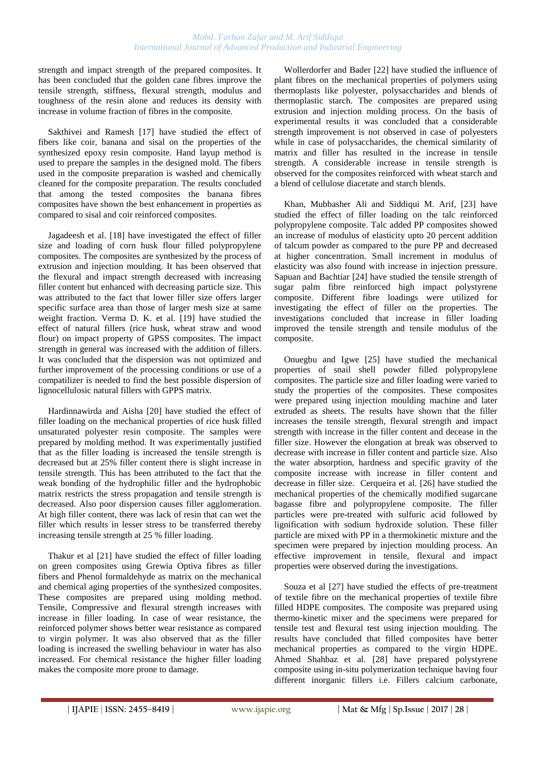strength and impact strength of the prepared composites. It has been concluded that the golden cane fibres improve the tensile strength, stiffness, flexural strength, modulus and toughness of the resin alone and reduces its density with increase in volume fraction of fibres in the composite.

Sakthivei and Ramesh [17] have studied the effect of fibers like coir, banana and sisal on the properties of the synthesized epoxy resin composite. Hand layup method is used to prepare the samples in the designed mold. The fibers used in the composite preparation is washed and chemically cleaned for the composite preparation. The results concluded that among the tested composites the banana fibres composites have shown the best enhancement in properties as compared to sisal and coir reinforced composites.

Jagadeesh et al. [18] have investigated the effect of filler size and loading of corn husk flour filled polypropylene composites. The composites are synthesized by the process of extrusion and injection moulding. It has been observed that the flexural and impact strength decreased with increasing filler content but enhanced with decreasing particle size. This was attributed to the fact that lower filler size offers larger specific surface area than those of larger mesh size at same weight fraction. Verma D. K. et al. [19] have studied the effect of natural fillers (rice husk, wheat straw and wood flour) on impact property of GPSS composites. The impact strength in general was increased with the addition of fillers. It was concluded that the dispersion was not optimized and further improvement of the processing conditions or use of a compatilizer is needed to find the best possible dispersion of lignocellulosic natural fillers with GPPS matrix.

Hardinnawirda and Aisha [20] have studied the effect of filler loading on the mechanical properties of rice husk filled unsaturated polyester resin composite. The samples were prepared by molding method. It was experimentally justified that as the filler loading is increased the tensile strength is decreased but at 25% filler content there is slight increase in tensile strength. This has been attributed to the fact that the weak bonding of the hydrophilic filler and the hydrophobic matrix restricts the stress propagation and tensile strength is decreased. Also poor dispersion causes filler agglomeration. At high filler content, there was lack of resin that can wet the filler which results in lesser stress to be transferred thereby increasing tensile strength at 25 % filler loading.

Thakur et al [21] have studied the effect of filler loading on green composites using Grewia Optiva fibres as filler fibers and Phenol formaldehyde as matrix on the mechanical and chemical aging properties of the synthesized composites. These composites are prepared using molding method. Tensile, Compressive and flexural strength increases with increase in filler loading. In case of wear resistance, the reinforced polymer shows better wear resistance as compared to virgin polymer. It was also observed that as the filler loading is increased the swelling behaviour in water has also increased. For chemical resistance the higher filler loading makes the composite more prone to damage.

Wollerdorfer and Bader [22] have studied the influence of plant fibres on the mechanical properties of polymers using thermoplasts like polyester, polysaccharides and blends of thermoplastic starch. The composites are prepared using extrusion and injection molding process. On the basis of experimental results it was concluded that a considerable strength improvement is not observed in case of polyesters while in case of polysaccharides, the chemical similarity of matrix and filler has resulted in the increase in tensile strength. A considerable increase in tensile strength is observed for the composites reinforced with wheat starch and a blend of cellulose diacetate and starch blends.

Khan, Mubbasher Ali and Siddiqui M. Arif, [23] have studied the effect of filler loading on the talc reinforced polypropylene composite. Talc added PP composites showed an increase of modulus of elasticity upto 20 percent addition of talcum powder as compared to the pure PP and decreased at higher concentration. Small increment in modulus of elasticity was also found with increase in injection pressure. Sapuan and Bachtiar [24] have studied the tensile strength of sugar palm fibre reinforced high impact polystyrene composite. Different fibre loadings were utilized for investigating the effect of filler on the properties. The investigations concluded that increase in filler loading improved the tensile strength and tensile modulus of the composite.

Onuegbu and Igwe [25] have studied the mechanical properties of snail shell powder filled polypropylene composites. The particle size and filler loading were varied to study the properties of the composites. These composites were prepared using injection moulding machine and later extruded as sheets. The results have shown that the filler increases the tensile strength, flexural strength and impact strength with increase in the filler content and decease in the filler size. However the elongation at break was observed to decrease with increase in filler content and particle size. Also the water absorption, hardness and specific gravity of the composite increase with increase in filler content and decrease in filler size. Cerqueira et al. [26] have studied the mechanical properties of the chemically modified sugarcane bagasse fibre and polypropylene composite. The filler particles were pre-treated with sulfuric acid followed by lignification with sodium hydroxide solution. These filler particle are mixed with PP in a thermokinetic mixture and the specimen were prepared by injection moulding process. An effective improvement in tensile, flexural and impact properties were observed during the investigations.

Souza et al [27] have studied the effects of pre-treatment of textile fibre on the mechanical properties of textile fibre filled HDPE composites. The composite was prepared using thermo-kinetic mixer and the specimens were prepared for tensile test and flexural test using injection moulding. The results have concluded that filled composites have better mechanical properties as compared to the virgin HDPE. Ahmed Shahbaz et al. [28] have prepared polystyrene composite using in-situ polymerization technique having four different inorganic fillers i.e. Fillers calcium carbonate,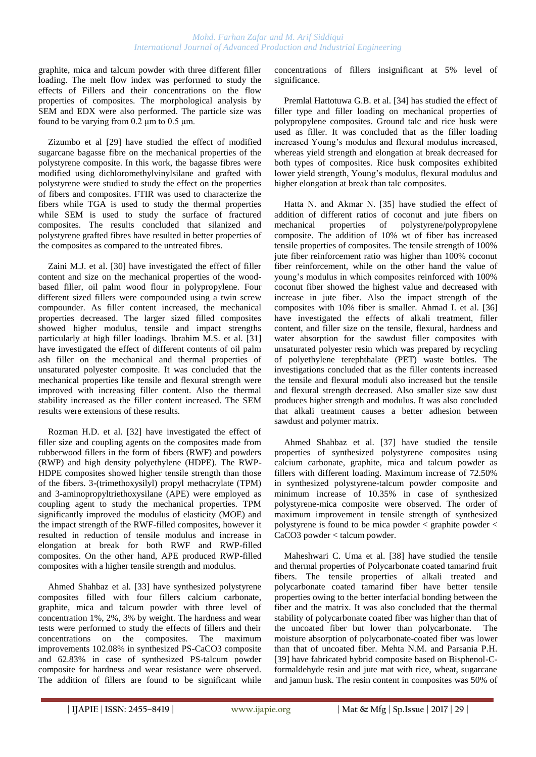graphite, mica and talcum powder with three different filler loading. The melt flow index was performed to study the effects of Fillers and their concentrations on the flow properties of composites. The morphological analysis by SEM and EDX were also performed. The particle size was found to be varying from  $0.2 \mu m$  to  $0.5 \mu m$ .

Zizumbo et al [29] have studied the effect of modified sugarcane bagasse fibre on the mechanical properties of the polystyrene composite. In this work, the bagasse fibres were modified using dichloromethylvinylsilane and grafted with polystyrene were studied to study the effect on the properties of fibers and composites. FTIR was used to characterize the fibers while TGA is used to study the thermal properties while SEM is used to study the surface of fractured composites. The results concluded that silanized and polystyrene grafted fibres have resulted in better properties of the composites as compared to the untreated fibres.

Zaini M.J. et al. [30] have investigated the effect of filler content and size on the mechanical properties of the woodbased filler, oil palm wood flour in polypropylene. Four different sized fillers were compounded using a twin screw compounder. As filler content increased, the mechanical properties decreased. The larger sized filled composites showed higher modulus, tensile and impact strengths particularly at high filler loadings. Ibrahim M.S. et al. [31] have investigated the effect of different contents of oil palm ash filler on the mechanical and thermal properties of unsaturated polyester composite. It was concluded that the mechanical properties like tensile and flexural strength were improved with increasing filler content. Also the thermal stability increased as the filler content increased. The SEM results were extensions of these results.

Rozman H.D. et al. [32] have investigated the effect of filler size and coupling agents on the composites made from rubberwood fillers in the form of fibers (RWF) and powders (RWP) and high density polyethylene (HDPE). The RWP-HDPE composites showed higher tensile strength than those of the fibers. 3-(trimethoxysilyl) propyl methacrylate (TPM) and 3-aminopropyltriethoxysilane (APE) were employed as coupling agent to study the mechanical properties. TPM significantly improved the modulus of elasticity (MOE) and the impact strength of the RWF-filled composites, however it resulted in reduction of tensile modulus and increase in elongation at break for both RWF and RWP-filled composites. On the other hand, APE produced RWP-filled composites with a higher tensile strength and modulus.

Ahmed Shahbaz et al. [33] have synthesized polystyrene composites filled with four fillers calcium carbonate, graphite, mica and talcum powder with three level of concentration 1%, 2%, 3% by weight. The hardness and wear tests were performed to study the effects of fillers and their concentrations on the composites. The maximum improvements 102.08% in synthesized PS-CaCO3 composite and 62.83% in case of synthesized PS-talcum powder composite for hardness and wear resistance were observed. The addition of fillers are found to be significant while concentrations of fillers insignificant at 5% level of significance.

Premlal Hattotuwa G.B. et al. [34] has studied the effect of filler type and filler loading on mechanical properties of polypropylene composites. Ground talc and rice husk were used as filler. It was concluded that as the filler loading increased Young's modulus and flexural modulus increased, whereas yield strength and elongation at break decreased for both types of composites. Rice husk composites exhibited lower yield strength, Young's modulus, flexural modulus and higher elongation at break than talc composites.

Hatta N. and Akmar N. [35] have studied the effect of addition of different ratios of coconut and jute fibers on mechanical properties of polystyrene/polypropylene composite. The addition of 10% wt of fiber has increased tensile properties of composites. The tensile strength of 100% jute fiber reinforcement ratio was higher than 100% coconut fiber reinforcement, while on the other hand the value of young's modulus in which composites reinforced with 100% coconut fiber showed the highest value and decreased with increase in jute fiber. Also the impact strength of the composites with 10% fiber is smaller. Ahmad I. et al. [36] have investigated the effects of alkali treatment, filler content, and filler size on the tensile, flexural, hardness and water absorption for the sawdust filler composites with unsaturated polyester resin which was prepared by recycling of polyethylene terephthalate (PET) waste bottles. The investigations concluded that as the filler contents increased the tensile and flexural moduli also increased but the tensile and flexural strength decreased. Also smaller size saw dust produces higher strength and modulus. It was also concluded that alkali treatment causes a better adhesion between sawdust and polymer matrix.

Ahmed Shahbaz et al. [37] have studied the tensile properties of synthesized polystyrene composites using calcium carbonate, graphite, mica and talcum powder as fillers with different loading. Maximum increase of 72.50% in synthesized polystyrene-talcum powder composite and minimum increase of 10.35% in case of synthesized polystyrene-mica composite were observed. The order of maximum improvement in tensile strength of synthesized polystyrene is found to be mica powder < graphite powder < CaCO3 powder < talcum powder.

Maheshwari C. Uma et al. [38] have studied the tensile and thermal properties of Polycarbonate coated tamarind fruit fibers. The tensile properties of alkali treated and polycarbonate coated tamarind fiber have better tensile properties owing to the better interfacial bonding between the fiber and the matrix. It was also concluded that the thermal stability of polycarbonate coated fiber was higher than that of the uncoated fiber but lower than polycarbonate. The moisture absorption of polycarbonate-coated fiber was lower than that of uncoated fiber. Mehta N.M. and Parsania P.H. [39] have fabricated hybrid composite based on Bisphenol-Cformaldehyde resin and jute mat with rice, wheat, sugarcane and jamun husk. The resin content in composites was 50% of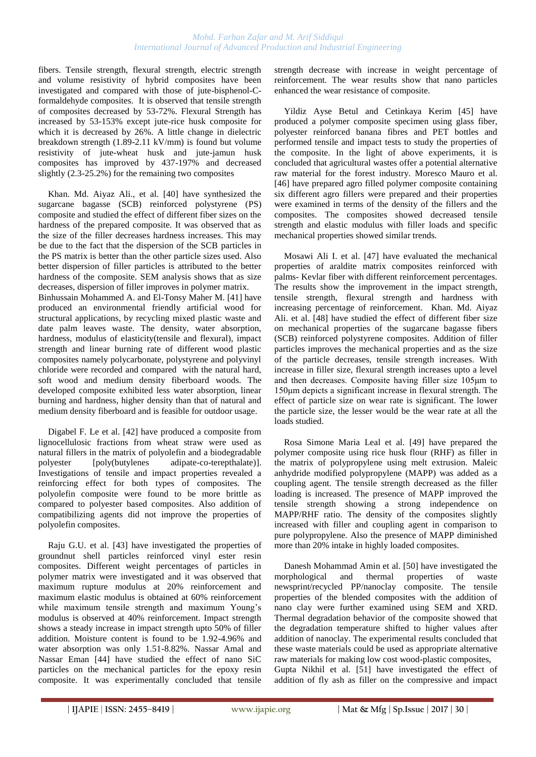#### *Mohd. Farhan Zafar and M. Arif Siddiqui International Journal of Advanced Production and Industrial Engineering*

fibers. Tensile strength, flexural strength, electric strength and volume resistivity of hybrid composites have been investigated and compared with those of jute-bisphenol-Cformaldehyde composites. It is observed that tensile strength of composites decreased by 53-72%. Flexural Strength has increased by 53-153% except jute-rice husk composite for which it is decreased by 26%. A little change in dielectric breakdown strength (1.89-2.11 kV/mm) is found but volume resistivity of jute-wheat husk and jute-jamun husk composites has improved by 437-197% and decreased slightly (2.3-25.2%) for the remaining two composites

Khan. Md. Aiyaz Ali., et al. [40] have synthesized the sugarcane bagasse (SCB) reinforced polystyrene (PS) composite and studied the effect of different fiber sizes on the hardness of the prepared composite. It was observed that as the size of the filler decreases hardness increases. This may be due to the fact that the dispersion of the SCB particles in the PS matrix is better than the other particle sizes used. Also better dispersion of filler particles is attributed to the better hardness of the composite. SEM analysis shows that as size decreases, dispersion of filler improves in polymer matrix. Binhussain Mohammed A. and El-Tonsy Maher M. [41] have produced an environmental friendly artificial wood for structural applications, by recycling mixed plastic waste and date palm leaves waste. The density, water absorption, hardness, modulus of elasticity(tensile and flexural), impact

strength and linear burning rate of different wood plastic composites namely polycarbonate, polystyrene and polyvinyl chloride were recorded and compared with the natural hard, soft wood and medium density fiberboard woods. The developed composite exhibited less water absorption, linear burning and hardness, higher density than that of natural and medium density fiberboard and is feasible for outdoor usage.

Digabel F. Le et al. [42] have produced a composite from lignocellulosic fractions from wheat straw were used as natural fillers in the matrix of polyolefin and a biodegradable polyester [poly(butylenes adipate-co-terepthalate)]. Investigations of tensile and impact properties revealed a reinforcing effect for both types of composites. The polyolefin composite were found to be more brittle as compared to polyester based composites. Also addition of compatibilizing agents did not improve the properties of polyolefin composites.

Raju G.U. et al. [43] have investigated the properties of groundnut shell particles reinforced vinyl ester resin composites. Different weight percentages of particles in polymer matrix were investigated and it was observed that maximum rupture modulus at 20% reinforcement and maximum elastic modulus is obtained at 60% reinforcement while maximum tensile strength and maximum Young's modulus is observed at 40% reinforcement. Impact strength shows a steady increase in impact strength upto 50% of filler addition. Moisture content is found to be 1.92-4.96% and water absorption was only 1.51-8.82%. Nassar Amal and Nassar Eman [44] have studied the effect of nano SiC particles on the mechanical particles for the epoxy resin composite. It was experimentally concluded that tensile

strength decrease with increase in weight percentage of reinforcement. The wear results show that nano particles enhanced the wear resistance of composite.

Yildiz Ayse Betul and Cetinkaya Kerim [45] have produced a polymer composite specimen using glass fiber, polyester reinforced banana fibres and PET bottles and performed tensile and impact tests to study the properties of the composite. In the light of above experiments, it is concluded that agricultural wastes offer a potential alternative raw material for the forest industry. Moresco Mauro et al. [46] have prepared agro filled polymer composite containing six different agro fillers were prepared and their properties were examined in terms of the density of the fillers and the composites. The composites showed decreased tensile strength and elastic modulus with filler loads and specific mechanical properties showed similar trends.

Mosawi Ali I. et al. [47] have evaluated the mechanical properties of araldite matrix composites reinforced with palms- Kevlar fiber with different reinforcement percentages. The results show the improvement in the impact strength, tensile strength, flexural strength and hardness with increasing percentage of reinforcement. Khan. Md. Aiyaz Ali. et al. [48] have studied the effect of different fiber size on mechanical properties of the sugarcane bagasse fibers (SCB) reinforced polystyrene composites. Addition of filler particles improves the mechanical properties and as the size of the particle decreases, tensile strength increases. With increase in filler size, flexural strength increases upto a level and then decreases. Composite having filler size 105μm to 150μm depicts a significant increase in flexural strength. The effect of particle size on wear rate is significant. The lower the particle size, the lesser would be the wear rate at all the loads studied.

Rosa Simone Maria Leal et al. [49] have prepared the polymer composite using rice husk flour (RHF) as filler in the matrix of polypropylene using melt extrusion. Maleic anhydride modified polypropylene (MAPP) was added as a coupling agent. The tensile strength decreased as the filler loading is increased. The presence of MAPP improved the tensile strength showing a strong independence on MAPP/RHF ratio. The density of the composites slightly increased with filler and coupling agent in comparison to pure polypropylene. Also the presence of MAPP diminished more than 20% intake in highly loaded composites.

Danesh Mohammad Amin et al. [50] have investigated the prophological and thermal properties of waste morphological and thermal properties of waste newsprint/recycled PP/nanoclay composite. The tensile properties of the blended composites with the addition of nano clay were further examined using SEM and XRD. Thermal degradation behavior of the composite showed that the degradation temperature shifted to higher values after addition of nanoclay. The experimental results concluded that these waste materials could be used as appropriate alternative raw materials for making low cost wood-plastic composites, Gupta Nikhil et al. [51] have investigated the effect of addition of fly ash as filler on the compressive and impact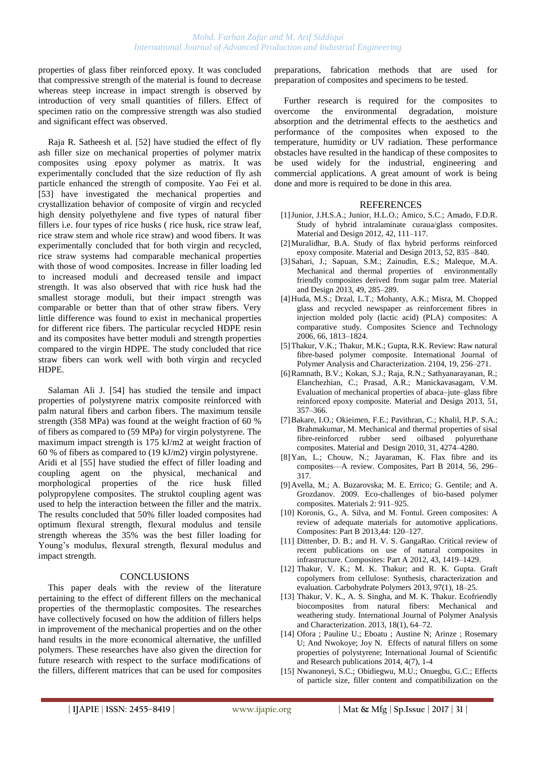properties of glass fiber reinforced epoxy. It was concluded that compressive strength of the material is found to decrease whereas steep increase in impact strength is observed by introduction of very small quantities of fillers. Effect of specimen ratio on the compressive strength was also studied and significant effect was observed.

Raja R. Satheesh et al. [52] have studied the effect of fly ash filler size on mechanical properties of polymer matrix composites using epoxy polymer as matrix. It was experimentally concluded that the size reduction of fly ash particle enhanced the strength of composite. Yao Fei et al. [53] have investigated the mechanical properties and crystallization behavior of composite of virgin and recycled high density polyethylene and five types of natural fiber fillers i.e. four types of rice husks ( rice husk, rice straw leaf, rice straw stem and whole rice straw) and wood fibers. It was experimentally concluded that for both virgin and recycled, rice straw systems had comparable mechanical properties with those of wood composites. Increase in filler loading led to increased moduli and decreased tensile and impact strength. It was also observed that with rice husk had the smallest storage moduli, but their impact strength was comparable or better than that of other straw fibers. Very little difference was found to exist in mechanical properties for different rice fibers. The particular recycled HDPE resin and its composites have better moduli and strength properties compared to the virgin HDPE. The study concluded that rice straw fibers can work well with both virgin and recycled HDPE.

Salaman Ali J. [54] has studied the tensile and impact properties of polystyrene matrix composite reinforced with palm natural fibers and carbon fibers. The maximum tensile strength (358 MPa) was found at the weight fraction of 60 % of fibers as compared to (59 MPa) for virgin polystyrene. The maximum impact strength is 175 kJ/m2 at weight fraction of 60 % of fibers as compared to (19 kJ/m2) virgin polystyrene. Aridi et al [55] have studied the effect of filler loading and coupling agent on the physical, mechanical and morphological properties of the rice husk filled polypropylene composites. The struktol coupling agent was used to help the interaction between the filler and the matrix. The results concluded that 50% filler loaded composites had optimum flexural strength, flexural modulus and tensile strength whereas the 35% was the best filler loading for Young's modulus, flexural strength, flexural modulus and impact strength.

### **CONCLUSIONS**

This paper deals with the review of the literature pertaining to the effect of different fillers on the mechanical properties of the thermoplastic composites. The researches have collectively focused on how the addition of fillers helps in improvement of the mechanical properties and on the other hand results in the more economical alternative, the unfilled polymers. These researches have also given the direction for future research with respect to the surface modifications of the fillers, different matrices that can be used for composites

preparations, fabrication methods that are used for preparation of composites and specimens to be tested.

Further research is required for the composites to overcome the environmental degradation, moisture absorption and the detrimental effects to the aesthetics and performance of the composites when exposed to the temperature, humidity or UV radiation. These performance obstacles have resulted in the handicap of these composites to be used widely for the industrial, engineering and commercial applications. A great amount of work is being done and more is required to be done in this area.

## **REFERENCES**

- [1]Junior, J.H.S.A.; Junior, H.L.O.; Amico, S.C.; Amado, F.D.R. Study of hybrid intralaminate curaua/glass composites. Material and Design 2012, 42, 111–117.
- [2]Muralidhar, B.A. Study of flax hybrid performs reinforced epoxy composite. Material and Design 2013, 52, 835 –840.
- [3] Sahari, J.; Sapuan, S.M.; Zainudin, E.S.; Maleque, M.A. Mechanical and thermal properties of environmentally friendly composites derived from sugar palm tree. Material and Design 2013, 49, 285–289.
- [4] Huda, M.S.; Drzal, L.T.; Mohanty, A.K.; Misra, M. Chopped glass and recycled newspaper as reinforcement fibres in injection molded poly (lactic acid) (PLA) composites: A comparative study. Composites Science and Technology 2006, 66, 1813–1824.
- [5]Thakur, V.K.; Thakur, M.K.; Gupta, R.K. Review: Raw natural fibre-based polymer composite. International Journal of Polymer Analysis and Characterization. 2104, 19, 256–271.
- [6]Ramnath, B.V.; Kokan, S.J.; Raja, R.N.; Sathyanarayanan, R.; Elanchezhian, C.; Prasad, A.R.; Manickavasagam, V.M. Evaluation of mechanical properties of abaca–jute–glass fibre reinforced epoxy composite. Material and Design 2013, 51, 357–366.
- [7]Bakare, I.O.; Okieimen, F.E.; Pavithran, C.; Khalil, H.P. S.A.; Brahmakumar, M. Mechanical and thermal properties of sisal fibre-reinforced rubber seed oilbased polyurethane composites. Material and Design 2010, 31, 4274–4280.
- [8] Yan, L.; Chouw, N.; Jayaraman, K. Flax fibre and its composites—A review. Composites, Part B 2014, 56, 296– 317.
- [9] Avella, M.; A. Buzarovska; M. E. Errico; G. Gentile; and A. Grozdanov. 2009. Eco-challenges of bio-based polymer composites. Materials 2: 911–925.
- [10] Koronis, G., A. Silva, and M. Fontul. Green composites: A review of adequate materials for automotive applications. Composites: Part B 2013,44: 120–127.
- [11] Dittenber, D. B.; and H. V. S. GangaRao. Critical review of recent publications on use of natural composites in infrastructure. Composites: Part A 2012, 43, 1419–1429.
- [12] Thakur, V. K.; M. K. Thakur; and R. K. Gupta. Graft copolymers from cellulose: Synthesis, characterization and evaluation. Carbohydrate Polymers 2013, 97(1), 18–25.
- [13] Thakur, V. K., A. S. Singha, and M. K. Thakur. Ecofriendly biocomposites from natural fibers: Mechanical and weathering study. International Journal of Polymer Analysis and Characterization. 2013, 18(1), 64–72.
- [14] Ofora ; Pauline U.; Eboatu ; Austine N; Arinze ; Rosemary U; And Nwokoye; Joy N. Effects of natural fillers on some properties of polystyrene; International Journal of Scientific and Research publications 2014, 4(7), 1-4
- [15] Nwanoneyi, S.C.; Obidiegwu, M.U.; Onuegbu, G.C.; Effects of particle size, filler content and compatibilization on the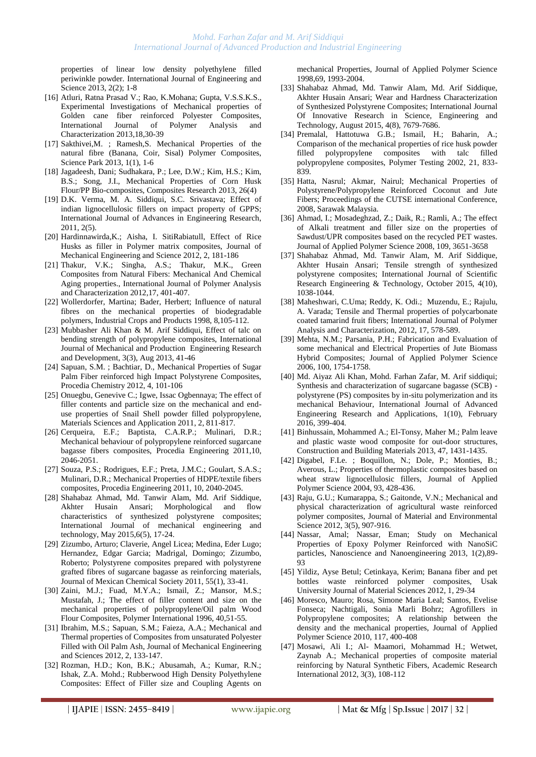properties of linear low density polyethylene filled periwinkle powder. International Journal of Engineering and Science 2013, 2(2); 1-8

- [16] Atluri, Ratna Prasad V.; Rao, K.Mohana; Gupta, V.S.S.K.S., Experimental Investigations of Mechanical properties of Golden cane fiber reinforced Polyester Composites, International Journal of Polymer Analysis and Characterization 2013,18,30-39
- [17] Sakthivei, M. ; Ramesh, S. Mechanical Properties of the natural fibre (Banana, Coir, Sisal) Polymer Composites, Science Park 2013, 1(1), 1-6
- [18] Jagadeesh, Dani; Sudhakara, P.; Lee, D.W.; Kim, H.S.; Kim, B.S.; Song, J.I., Mechanical Properties of Corn Husk Flour/PP Bio-composites, Composites Research 2013, 26(4)
- [19] D.K. Verma, M. A. Siddiqui, S.C. Srivastava; Effect of indian lignocellulosic fillers on impact property of GPPS; International Journal of Advances in Engineering Research, 2011, 2(5).
- [20] Hardinnawirda,K.; Aisha, I. SitiRabiatull, Effect of Rice Husks as filler in Polymer matrix composites, Journal of Mechanical Engineering and Science 2012, 2, 181-186
- [21] Thakur, V.K.; Singha, A.S.; Thakur, M.K., Green Composites from Natural Fibers: Mechanical And Chemical Aging properties., International Journal of Polymer Analysis and Characterization 2012,17, 401-407.
- [22] Wollerdorfer, Martina; Bader, Herbert; Influence of natural fibres on the mechanical properties of biodegradable polymers, Industrial Crops and Products 1998, 8,105-112.
- [23] Mubbasher Ali Khan & M. Arif Siddiqui, Effect of talc on bending strength of polypropylene composites, International Journal of Mechanical and Production Engineering Research and Development, 3(3), Aug 2013, 41-46
- [24] Sapuan, S.M. ; Bachtiar, D., Mechanical Properties of Sugar Palm Fiber reinforced high Impact Polystyrene Composites, Procedia Chemistry 2012, 4, 101-106
- [25] Onuegbu, Genevive C.; Igwe, Issac Ogbennaya; The effect of filler contents and particle size on the mechanical and enduse properties of Snail Shell powder filled polypropylene, Materials Sciences and Application 2011, 2, 811-817.
- [26] Cerqueira, E.F.; Baptista, C.A.R.P.; Mulinari, D.R.; Mechanical behaviour of polypropylene reinforced sugarcane bagasse fibers composites, Procedia Engineering 2011,10, 2046-2051.
- [27] Souza, P.S.; Rodrigues, E.F.; Preta, J.M.C.; Goulart, S.A.S.; Mulinari, D.R.; Mechanical Properties of HDPE/textile fibers composites, Procedia Engineering 2011, 10, 2040-2045.
- [28] Shahabaz Ahmad, Md. Tanwir Alam, Md. Arif Siddique, Akhter Husain Ansari; Morphological and flow characteristics of synthesized polystyrene composites; International Journal of mechanical engineering and technology, May 2015,6(5), 17-24.
- [29] Zizumbo, Arturo; Claverie, Angel Licea; Medina, Eder Lugo; Hernandez, Edgar Garcia; Madrigal, Domingo; Zizumbo, Roberto; Polystyrene composites prepared with polystyrene grafted fibres of sugarcane bagasse as reinforcing materials, Journal of Mexican Chemical Society 2011, 55(1), 33-41.
- [30] Zaini, M.J.; Fuad, M.Y.A.; Ismail, Z.; Mansor, M.S.; Mustafah, J.; The effect of filler content and size on the mechanical properties of polypropylene/Oil palm Wood Flour Composites, Polymer International 1996, 40,51-55.
- [31] Ibrahim, M.S.; Sapuan, S.M.; Faieza, A.A.; Mechanical and Thermal properties of Composites from unsaturated Polyester Filled with Oil Palm Ash, Journal of Mechanical Engineering and Sciences 2012, 2, 133-147.
- [32] Rozman, H.D.; Kon, B.K.; Abusamah, A.; Kumar, R.N.; Ishak, Z.A. Mohd.; Rubberwood High Density Polyethylene Composites: Effect of Filler size and Coupling Agents on

mechanical Properties, Journal of Applied Polymer Science 1998,69, 1993-2004.

- [33] Shahabaz Ahmad, Md. Tanwir Alam, Md. Arif Siddique, Akhter Husain Ansari; Wear and Hardness Characterization of Synthesized Polystyrene Composites; International Journal Of Innovative Research in Science, Engineering and Technology, August 2015, 4(8), 7679-7686.
- [34] Premalal, Hattotuwa G.B.; Ismail, H.; Baharin, A.; Comparison of the mechanical properties of rice husk powder filled polypropylene composites with talc filled polypropylene composites, Polymer Testing 2002, 21, 833- 839.
- [35] Hatta, Nasrul; Akmar, Nairul; Mechanical Properties of Polystyrene/Polypropylene Reinforced Coconut and Jute Fibers; Proceedings of the CUTSE international Conference, 2008, Sarawak Malaysia.
- [36] Ahmad, I.; Mosadeghzad, Z.; Daik, R.; Ramli, A.; The effect of Alkali treatment and filler size on the properties of Sawdust/UPR composites based on the recycled PET wastes. Journal of Applied Polymer Science 2008, 109, 3651-3658
- [37] Shahabaz Ahmad, Md. Tanwir Alam, M. Arif Siddique, Akhter Husain Ansari; Tensile strength of synthesized polystyrene composites; International Journal of Scientific Research Engineering & Technology, October 2015, 4(10), 1038-1044.
- [38] Maheshwari, C.Uma; Reddy, K. Odi.; Muzendu, E.; Rajulu, A. Varada; Tensile and Thermal properties of polycarbonate coated tamarind fruit fibers; International Journal of Polymer Analysis and Characterization, 2012, 17, 578-589.
- [39] Mehta, N.M.; Parsania, P.H.; Fabrication and Evaluation of some mechanical and Electrical Properties of Jute Biomass Hybrid Composites; Journal of Applied Polymer Science 2006, 100, 1754-1758.
- [40] Md. Aiyaz Ali Khan, Mohd. Farhan Zafar, M. Arif siddiqui; Synthesis and characterization of sugarcane bagasse (SCB) polystyrene (PS) composites by in-situ polymerization and its mechanical Behaviour, International Journal of Advanced Engineering Research and Applications, 1(10), February 2016, 399-404.
- [41] Binhussain, Mohammed A.; El-Tonsy, Maher M.; Palm leave and plastic waste wood composite for out-door structures, Construction and Building Materials 2013, 47, 1431-1435.
- [42] Digabel, F.Le. ; Boquillon, N.; Dole, P.; Monties, B.; Averous, L.; Properties of thermoplastic composites based on wheat straw lignocellulosic fillers, Journal of Applied Polymer Science 2004, 93, 428-436.
- [43] Raju, G.U.; Kumarappa, S.; Gaitonde, V.N.; Mechanical and physical characterization of agricultural waste reinforced polymer composites, Journal of Material and Environmental Science 2012, 3(5), 907-916.
- [44] Nassar, Amal; Nassar, Eman; Study on Mechanical Properties of Epoxy Polymer Reinforced with NanoSiC particles, Nanoscience and Nanoengineering 2013, 1(2),89- 93
- [45] Yildiz, Ayse Betul; Cetinkaya, Kerim; Banana fiber and pet bottles waste reinforced polymer composites, Usak University Journal of Material Sciences 2012, 1, 29-34
- [46] Moresco, Mauro; Rosa, Simone Maria Leal; Santos, Evelise Fonseca; Nachtigali, Sonia Marli Bohrz; Agrofillers in Polypropylene composites; A relationship between the density and the mechanical properties, Journal of Applied Polymer Science 2010, 117, 400-408
- [47] Mosawi, Ali I.; Al- Maamori, Mohammad H.; Wetwet, Zaynab A.; Mechanical properties of composite material reinforcing by Natural Synthetic Fibers, Academic Research International 2012, 3(3), 108-112